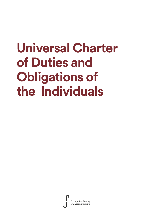# **Universal Charter of Duties and Obligations of the Individuals**

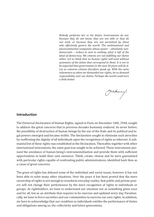*Nobody performs her or his duties. Governments do not, because they do not know, they are not able or they do not wish, or because they are not permitted by those who effectively govern the world: The multinational and pluricontinental companies whose power – absolutely nondemocratic – reduce to next to nothing what is left of the ideal of democracy. We citizens are not fulfilling our duties either. Let us think that no human rights will exist without symmetry of the duties that correspond to them. It is not to be expected that governments in the next 50 years will do it. Let us common citizens therefore speak up. With the same vehemence as when we demanded our rights, let us demand responsibility over our duties. Perhaps the world could turn a little better.*

Portuanne.

# **Introduction**

The Universal Declaration of Human Rights, signed in Paris on December 10th, 1948, sought to address the great concerns that in previous decades humanity endured. As never before, the possibility of destruction of human beings by the use of the State and its political and legal powers emerged and became visible. The Declaration sought to eliminate such atrocities by reaffirming the dignity of all individuals upon the recognition of rights as inherent. A substantial list of these rights was established in the Declaration. Thereafter, together with other international instruments, the same goal was sought to be achieved. These instruments pursued the avoidance of human being's instrumentalization and provide them with sufficient opportunities to build their own existence. Think, create, choose and be were guaranteed with particular rights capable of confronting public administrations, identified back then as a cause of great concerns.

The grant of rights has defused some of the individual and social issues, however it has not been able to solve many other situations. Over the years it has been proved that the mere ownership of rights is not enough to transform everyday reality; that public and private powers will not change their performance by the mere recognition of rights to individuals or groups. As rightholders, we have to understand our situation not as something given once and for all, but as an attribute that requires to be exercise and updated every day. Paradoxically, we have to force ourselves and our communities to exercise our own rights. In addition, we have to acknowledge that our condition as individuals entitles the performance of duties and obligations among us, the collectivity and future generations.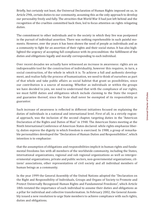Briefly, but certainly not least, the Universal Declaration of Human Rights imposed on us, in Article 29th, certain duties to our community, assuming this as the only approach to develop our personality freely and fully. The atrocities that World War II had just left behind and the recognition of the cruelties committed back then, led to focus attention on rights relegating duties.

The commitment to other individuals and to the society in which they live was postponed in the pursuit of individual assertion. There was nothing reprehensible in such painful moments. However, over the years it has been shown the need of people as individuals and as a community to fight for an assertion of their rights and their social status. It has also highlighted the urgency of accepting full compliance with its precondition: the fulfillment of the duties and obligations legally and morally corresponding to each individual.

Over recent decades we actually have witnessed an increase in awareness: rights are an indispensable tool for the construction of individuality, however this requires, in turn, a social construction, of the whole in which it is. To achieve a full and authentic development, and realize fully the process of humanization, we need to think of ourselves as part of that whole and take public affairs as social habitat that grant us possibilities, since our contribution is a source of meaning. Whether as individuals or within the groups we have decided to join, we need to understand that with the compliance of our rights, we must fulfill duties and obligations which include claiming to the State the respect and guarantee thereof, since the State shall never be exempted of its responsibility as guarantor.

Such increase of awareness is reflected in different initiatives focused on explaining the duties of individuals in a national and international level. First of all, in a strictly regional approach, was the inclusion of the second chapter, targeting duties in the "American Declaration of the Rights and Duties of Man" in 1948. The American States meeting at the Ninth International Conference of American States declared: while rights emphasize liberty, duties express the dignity in which freedom is exercised. In 1988, a group of remarkable personalities developed the "Declaration of Human Duties and Responsibilities", which intention is to emphasize:

that the assumption of obligations and responsibilities implicit in human rights and fundamental freedoms lies with all members of the worldwide community, including the States, international organizations, regional and sub regional organizations as well as intergovernmental organizations, private and public sectors, non-governmental organizations, citizens' associations, other representatives of civil society and all individual members of human beings as a community.

In the year 1999 the General Assembly of the United Nations adopted the "Declaration on the Right and Responsibility of Individuals, Groups and Organs of Society to Promote and Protect Universally Recognized Human Rights and Fundamental Freedoms", which Article 18th restated the importance of each individual to assume their duties and obligations as a pillar for individual and collective transformation. In February 2002, the General Assembly issued a new resolution to urge State members to achieve compliance with such rights, duties and obligations.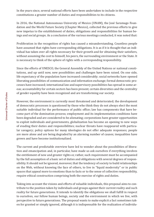In the years since, several national efforts have been undertaken to include in the respective constitutions a greater number of duties and responsibilities to its citizens.

In 2016, the National Autonomous University of Mexico (UNAM), the José Saramago Foundation and the World Future Society (Chapter Mexico), collected the previous efforts to give new impetus to the establishment of duties, obligations and responsibilities for human beings and social groups. As a conclusion of the various meetings conducted, it was noted that:

Proliferation in the recognition of rights has caused a misunderstanding. Countless people have assumed that rights have corresponding obligations. It is as if it is thought that an individual has taken over all rights necessary for their growth and for obtaining their satisfiers, without assuming the cost to himself, his peers, the surrounding environment or the State. It is necessary to think of the sphere of rights with a corresponding responsibility.

Since the efforts of UNESCO, the General Assembly of the United Nations or national constitutions, and up until now, new possibilities and challenges have been raised. On one side, life expectancy of the population have increased considerably; social networks have opened liberating possibilities of communication and information exchange; formal democratic processes have increased; international law and supervisory possibilities has spread in some areas; accountability for certain sectors has been present; certain diversities and the centrality of gender equality have been recognized and are transforming our society.

However, the environment is currently most threatened and deteriorated; the development of democratic processes is questioned by those who think they do not always elect the most suitable individual for the performance of public office; law has components that have become part of the domination process; employment and its implementation conditions have been degraded and are considered to be alienating; corporations have greater opportunities to exploit individuals and governments, globalization has become an opening to new ways of evading their duties and responsibilities; nuclear threats have reappeared with particular savagery; policy options for many ideologies do not offer adequate responses; people are more alone and are being degraded by an alarming number of causes; inequalities have grown and have become institutionalized.

The current and predictable overview have led to wonder about the possibilities of liberation and emancipation and, in particular, have made us ask ourselves if everything involves the entitlement of new and greater rights or, rather, such requirement must be accompanied by the full assumption of a basic set of duties and obligations with several degrees of responsibility. It should not be ignored, moreover, that the tendency of society to build relationships on the Web, without knowing the face of others, to live in "liquid modernity" or in public spaces that appeal more to emotions than to facts or to the sense of collective responsibility, require ethical construction comprising both the exercise of rights and duties.

Taking into account the visions and efforts of valuable individuals, this proposal aims to contribute to the position taken by individuals and groups against their current reality and such reality for future generations. It intends to identify the obligations we shall fulfill in respect to ourselves, our fellow human beings, society and the environment in which we live, with perspective to future generations. The proposal wants to make explicit a fact sometimes taken for granted or simply ignored, although it is indispensable for the realization of individu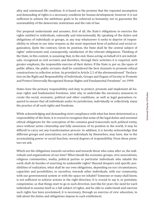ality and communal life condition. It is based on the premise that the repeated assumption and demanding of rights is a necessary condition for human development; however it is not sufficient to achieve the ambitious goals to be achieved as humanity, nor to guarantee the sustainability of the democratic institutions and the rule of law.

Our proposal understands and assumes, first of all, the State's obligations to exercise the rights entitled to individuals, nationally and internationally. By speaking of the duties and obligations of individuals or groups, in any way whatsoever it seeks to deprive of responsibility to whom in our time remains as the most important form of political and social organization. Quite the contrary. Given its position, the State shall be the central subject of rights' enforcement and, consequently, satisfaction of the relevant obligations. Thinking of the State, in this context, is assuming that, in the end, those acting on behalf of it are individuals, recognized as civil servants and therefore, through their activities it is required, with greater emphasis, the responsible exercise of their duties: If the State is, per se, the space of public affairs, the public servants shall be considered the best channels to promote ethical constructions in collective action. As provided in Article 2.1 of the aforementioned " Declaration on the Right and Responsibility of Individuals, Groups and Organs of Society to Promote and Protect Universally Recognized Human Rights and Fundamental Freedoms" on 1999:

States have the primary responsibility and duty to protect, promote and implement all human rights and fundamental freedoms, inter alia, to undertake the necessary measures to create the social, economic, political and other conditions, as well as legal guarantees required to ensure that all individuals under its jurisdiction, individually or collectively, enjoy the practice of all such rights and freedoms.

While acknowledging and demanding strict compliance with what has been determined as a responsibility of the State, it is crucial to recognize that some of the legal duties and essential ethical obligations for the conception of the common good transcends such political entity, since without active citizenship and fully awareness of its position in the world, it may be difficult to carry out any transformation process. In addition, it is hereby acknowledge that different groups and associations, not just individuals by themselves, may have, due to the accumulating power or social function, several degrees of responsibility. From these premises we ask:

Which are the obligations towards ourselves and towards those who come after us, the individuals and organizations of our time? What should the economic groups, civic associations, religious communities, media, political parties or particular individuals who inhabit the earth shall do besides of asserting its undeniable rights? Beyond despairs and specific possibilities of realization, what shall be our own obligations, depending on our circumstances, capacities and possibilities, to ourselves, towards other individuals, with our community, with our governmental system or with the space we inhabit? Someone or many shall know, is not sufficient to achieve actions in the right direction. It is crucial to say it, or postulate, compromise, so that things start to go in such direction. Just like for years the need for each individual to assume itself as a full subject of rights, and be able to understand and exercise such rights has been proclaimed, it is necessary, through an exercise of civic education, to talk about the duties and obligations impose to such entitlement.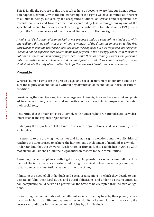This is finally the purpose of this proposal: to help us become aware that our human condition happens, certainly, with the full ownership of the rights we have admitted as inherent to all human beings, but also by the acceptance of duties, obligations and responsibilities towards ourselves and towards others. As expressed by José Saramago during one of the speeches delivered for the occasion of receiving the Nobel Prize for Literature in 1998, referring to the 50th anniversary of the Universal Declaration of Human Rights:

*A Universal Declaration of Human Rights was proposed and so we thought we had it all, without realizing that no right can exist without symmetry of the duties incumbent on it. The first duty will be to demand that such rights are not only recognized but also respected and satisfied. It should not be expected that governments will perform in the next fifty years what they have not done in these commemorating years. Let us take then, as ordinary citizens, the floor and initiative. With the same vehemence and the same force with which we claim our rights, also we shall vindicate the duty of our duties. Perhaps then the world begins to be a little better.*

# **Preamble**

Whereas human rights are the greatest legal and social achievement of our time aim to ensure the dignity of all individuals without any distinction on its individual, social or cultural condition,

Considering the need to recognize the emergence of new rights as well as carry out an updated, intergenerational, relational and supportive lecture of such rights properly emphasizing their social role,

Reiterating that the main obligors to comply with human rights are national states as well as international and regional organizations,

Underlying the importance that all individuals and organizations shall also comply with such rights,

In response to the growing inequalities and human rights violations and the difficulties of reaching the target raised to achieve the harmonious development of mankind as a whole, Understanding that the Universal Declaration of Human Rights establishes in Article 29th that all individuals shall fulfill their legal duties in respect to their communities,

Assuming that in compliance with legal duties, the possibilities of achieving full development of the individuals is not exhausted, being the ethical obligations equally essential to sustain democratic institutions as well as the rule of law,

Admitting the need of all individuals and social organizations in which they decide to participate, to fulfill their legal duties and ethical obligations, and under no circumstances its non-compliance could serve as a pretext for the State to be exempted from its own obligations,

Recognizing that individuals and the different social actors may have by their power, capacity or social function, different degrees of responsibility in its contribution to warranty the necessary conditions for the enjoyment of rights by all individuals.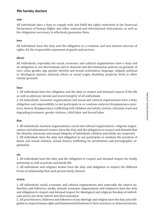# **We hereby declare**

#### **one**

All individuals have a duty to comply with and fulfill the rights enshrined in the Universal Declaration of Human Rights and other national and international instruments, as well as the obligations necessary to effectively guarantee them.

#### **two**

All individuals have the duty and the obligation to a common and non-abusive exercise of rights, for the responsible enjoyment of goods and services.

## **three**

All individuals, especially the social, economic and cultural organizations have a duty and an obligation to not discriminate and to demand anti-discrimination policies on grounds of race, color, gender, age, gender identity and sexual orientation, language, religion, political or ideological opinion, national, ethnic or social origin, disability, property, birth or other similar grounds.

## **four**

1. All individuals have the obligation and the duty to respect and demand respect of the life as well as physical, mental and moral integrity of all individuals.

2. All individuals, economic organizations and social and cultural organizations have a duty, obligation and responsibility to not participate in or condone enforced disappearance practices, slavery disappearance, trafficking with children and adults, torture, inhuman cruel and degrading treatment, gender violence, child labor and forced labor.

#### **five**

1. All individuals, business organizations, social and cultural organizations, religious organizations and educational centers, have the duty and the obligation to respect and demand that the identity, autonomy and sexual integrity of individuals, children and adults are respected. 2. All individuals have the duty and obligation to not participate or condone the practices of abuse and sexual violence, sexual slavery, trafficking for prostitution and pornographic exploitation.

## **six**

1. All individuals have the duty and the obligation to respect and demand respect for bodily autonomy as well as private and family life.

2. All individuals and religious bodies have the duty and obligation to respect the different forms of relationship that each person freely chooses.

#### **seven**

1. All individuals, social, economic and cultural organizations and, especially, the church authorities and followers, media, schools, economic organizations and employers have the duty and obligation to respect and demand respect for ideological and religious freedom of individuals and to not incite hatred and discrimination.

2. All practitioners, believers and followers of any ideology and religion have the duty and obligation to respect human rights and fundamental freedoms in their practices or demonstrations.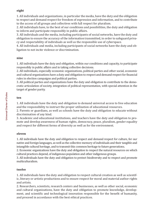## **eight**

1. All individuals and organizations, in particular the media, have the duty and the obligation to respect and demand respect for freedom of expression and information, and to contribute to the access of all groups and collectives with full respect for pluralism.

2. All individuals have, to the best of our conditions and possibilities, the duty and obligation to inform and participate responsibly in public affairs.

3. All individuals and the media, including participants of social networks, have the duty and obligation to ensure the accuracy of the information transmitted, in order to safeguard privacy and respectability of individuals as well as the responsible use of cyberspace.

4. All individuals and media, including participants of social networks have the duty and obligation to not incite violence or discrimination.

## **nine**

1. All individuals have the duty and obligation, within our conditions and capacity, to participate responsibly in public affairs and in taking collective decisions.

2. All individuals, especially economic organizations, political parties and other social, economic and cultural organizations have a duty and obligation to respect and demand respect for financial rules in election campaigns and political parties.

3. All political parties and organizations have the duty and obligation to contribute to the democratic articulation of society, integration of political representation, with special attention in the target of gender parity.

# **ten**

1. All individuals have the duty and obligation to demand universal access to free education and the responsibility to instruct the proper utilization of educational resources.

2. Parents or guardians, as well as schools have the duty and obligation to educate without discrimination of any kind.

3. Academic and educational institutions, and teachers have the duty and obligation to promote and develop awareness of human rights, democracy, peace, pluralism, gender equality and respect for different forms of diversity as well as for the environment.

# **eleven**

1. All individuals have the duty and obligation to respect and demand respect for culture, for our native and foreign languages, as well as the collective memory of individuals and their tangible and intangible cultural heritage, and to transmit this common heritage to future generations.

2. Economic organizations have the duty and obligation to respect the natural resources on which cultural practices depend, of indigenous population and other indigenous groups.

3. All individuals have the duty and obligation to protect biodiversity and to respect and promote multiculturalism.

# **twelve**

1. All individuals have the duty and obligation to respect cultural creation as well as scientific, literary or artistic productions and to ensure respect for moral and material author rights and artists.

2. Researchers, scientists, research centers and businesses, as well as other social, economic and cultural organizations, have the duty and obligation to promote knowledge, development, and scientific and technological innovation responsible for the benefit of humanity, and proceed in accordance with the best ethical practices.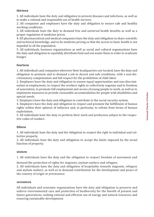## **thirteen**

1. All individuals have the duty and obligation to prevent diseases and infections, as well as to make a rational and responsible use of health services.

2. All companies and employers have the duty and obligation to ensure safe and healthy working conditions.

3. All individuals have the duty to demand free and universal health benefits as well as a proper regulation of medicine prices.

4. All pharmaceutical and medical companies have the duty and obligation to share scientific and technical knowledge, and to fix medicine pricing so that the access to basic health is not impeded to all the population.

5. All individuals, business organizations as well as social and cultural organizations have the duty and obligation to equitably distribute food and not waste them in order to eradicate hunger.

# **fourteen**

1. All individuals and companies wherever their headquarters are located, have the duty and obligation to promote and to demand a job in decent and safe conditions, with a non-discriminatory compensation and full respect for the prohibition of child labor.

2. Employers have the duty and obligation to ensure equal opportunities and non-discrimination in employment, to respect the workers rights to collectively organize and to freedom of association, to promote full employment and access of young people to work, as well as to implement measures to provide reasonable accommodation for people with disabilities and special needs.

3. Employers have the duty and obligation to contribute to the social security system.

4. Employers have the duty and obligation to respect and promote the fulfillment of human rights within their spheres of influence and, in particular, to refrain from forms of human exploitation.

5. All individuals have the duty to perform their work and profession subject to the respective codes of conduct.

# **fifteen**

1. All individuals have the duty and the obligation to respect the right to individual and collective property.

2. All individuals have the duty and obligation to accept the limits imposed by the social function of property.

## **sixteen**

1. All individuals have the duty and the obligation to respect freedom of movement and

demand the protection of rights for migrants, asylum-seekers and refugees.

2. All individuals have the duty and obligation of hospitality towards migrants, refugees and asylum seekers, as well as to demand contribution for the development and peace of the country of origin or provenance.

## **seventeen**

All individuals and economic organizations have the duty and obligation to preserve and enforce environmental care and protection of biodiversity for the benefit of present and future generations, making rational and efficient use of energy and natural resources and ensuring sustainable development.